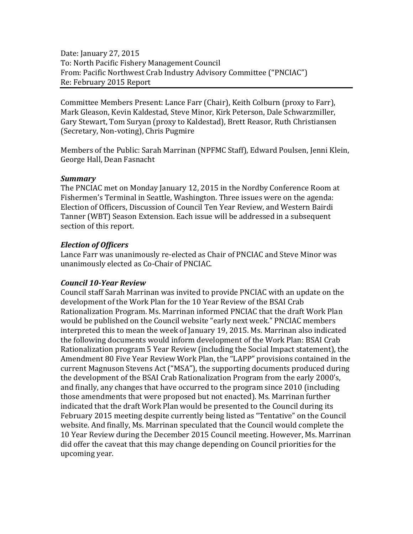Date: January 27, 2015 To: North Pacific Fishery Management Council From: Pacific Northwest Crab Industry Advisory Committee ("PNCIAC") Re: February 2015 Report

Committee Members Present: Lance Farr (Chair), Keith Colburn (proxy to Farr), Mark Gleason, Kevin Kaldestad, Steve Minor, Kirk Peterson, Dale Schwarzmiller, Gary Stewart, Tom Suryan (proxy to Kaldestad), Brett Reasor, Ruth Christiansen (Secretary, Non-voting), Chris Pugmire

Members of the Public: Sarah Marrinan (NPFMC Staff), Edward Poulsen, Jenni Klein, George Hall, Dean Fasnacht

## *Summary*

The PNCIAC met on Monday January 12, 2015 in the Nordby Conference Room at Fishermen's Terminal in Seattle, Washington. Three issues were on the agenda: Election of Officers, Discussion of Council Ten Year Review, and Western Bairdi Tanner (WBT) Season Extension. Each issue will be addressed in a subsequent section of this report.

## *Election of Officers*

Lance Farr was unanimously re-elected as Chair of PNCIAC and Steve Minor was unanimously elected as Co-Chair of PNCIAC.

## *Council 10-Year Review*

Council staff Sarah Marrinan was invited to provide PNCIAC with an update on the development of the Work Plan for the 10 Year Review of the BSAI Crab Rationalization Program. Ms. Marrinan informed PNCIAC that the draft Work Plan would be published on the Council website "early next week." PNCIAC members interpreted this to mean the week of January 19, 2015. Ms. Marrinan also indicated the following documents would inform development of the Work Plan: BSAI Crab Rationalization program 5 Year Review (including the Social Impact statement), the Amendment 80 Five Year Review Work Plan, the "LAPP" provisions contained in the current Magnuson Stevens Act ("MSA"), the supporting documents produced during the development of the BSAI Crab Rationalization Program from the early 2000's, and finally, any changes that have occurred to the program since 2010 (including those amendments that were proposed but not enacted). Ms. Marrinan further indicated that the draft Work Plan would be presented to the Council during its February 2015 meeting despite currently being listed as "Tentative" on the Council website. And finally, Ms. Marrinan speculated that the Council would complete the 10 Year Review during the December 2015 Council meeting. However, Ms. Marrinan did offer the caveat that this may change depending on Council priorities for the upcoming year.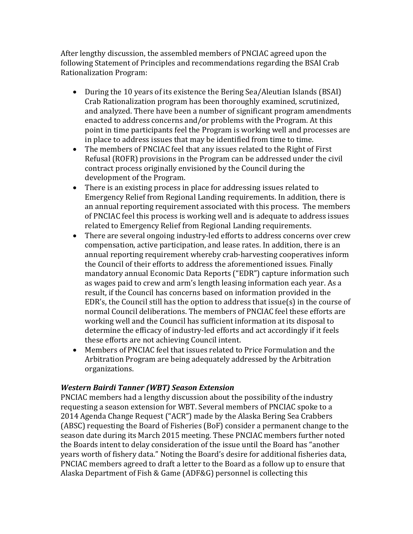After lengthy discussion, the assembled members of PNCIAC agreed upon the following Statement of Principles and recommendations regarding the BSAI Crab Rationalization Program:

- During the 10 years of its existence the Bering Sea/Aleutian Islands (BSAI) Crab Rationalization program has been thoroughly examined, scrutinized, and analyzed. There have been a number of significant program amendments enacted to address concerns and/or problems with the Program. At this point in time participants feel the Program is working well and processes are in place to address issues that may be identified from time to time.
- The members of PNCIAC feel that any issues related to the Right of First Refusal (ROFR) provisions in the Program can be addressed under the civil contract process originally envisioned by the Council during the development of the Program.
- There is an existing process in place for addressing issues related to Emergency Relief from Regional Landing requirements. In addition, there is an annual reporting requirement associated with this process. The members of PNCIAC feel this process is working well and is adequate to address issues related to Emergency Relief from Regional Landing requirements.
- There are several ongoing industry-led efforts to address concerns over crew compensation, active participation, and lease rates. In addition, there is an annual reporting requirement whereby crab-harvesting cooperatives inform the Council of their efforts to address the aforementioned issues. Finally mandatory annual Economic Data Reports ("EDR") capture information such as wages paid to crew and arm's length leasing information each year. As a result, if the Council has concerns based on information provided in the EDR's, the Council still has the option to address that issue(s) in the course of normal Council deliberations. The members of PNCIAC feel these efforts are working well and the Council has sufficient information at its disposal to determine the efficacy of industry-led efforts and act accordingly if it feels these efforts are not achieving Council intent.
- Members of PNCIAC feel that issues related to Price Formulation and the Arbitration Program are being adequately addressed by the Arbitration organizations.

## *Western Bairdi Tanner (WBT) Season Extension*

PNCIAC members had a lengthy discussion about the possibility of the industry requesting a season extension for WBT. Several members of PNCIAC spoke to a 2014 Agenda Change Request ("ACR") made by the Alaska Bering Sea Crabbers (ABSC) requesting the Board of Fisheries (BoF) consider a permanent change to the season date during its March 2015 meeting. These PNCIAC members further noted the Boards intent to delay consideration of the issue until the Board has "another years worth of fishery data." Noting the Board's desire for additional fisheries data, PNCIAC members agreed to draft a letter to the Board as a follow up to ensure that Alaska Department of Fish & Game (ADF&G) personnel is collecting this